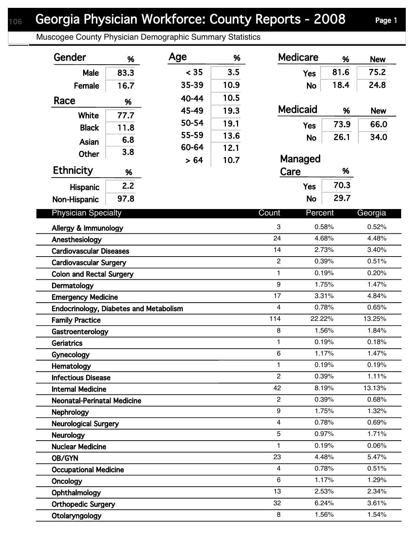Muscogee County Physician Demographic Summary Statistics

| Gender                                                                  | %    | Age   | %    | <b>Medicare</b>         | %              | <b>New</b>     |
|-------------------------------------------------------------------------|------|-------|------|-------------------------|----------------|----------------|
| Male                                                                    | 83.3 | < 35  | 3.5  | <b>Yes</b>              | 81.6           | 75.2           |
| Female                                                                  | 16.7 | 35-39 | 10.9 | <b>No</b>               | 18.4           | 24.8           |
| Race                                                                    | %    | 40-44 | 10.5 |                         |                |                |
|                                                                         |      | 45-49 | 19.3 | <b>Medicaid</b>         | %              | <b>New</b>     |
| <b>White</b>                                                            | 77.7 | 50-54 | 19.1 | <b>Yes</b>              | 73.9           | 66.0           |
| <b>Black</b>                                                            | 11.8 | 55-59 | 13.6 | <b>No</b>               | 26.1           | 34.0           |
| <b>Asian</b>                                                            | 6.8  | 60-64 | 12.1 |                         |                |                |
| <b>Other</b>                                                            | 3.8  | > 64  | 10.7 | Managed                 |                |                |
| <b>Ethnicity</b>                                                        | %    |       |      | Care                    | %              |                |
| <b>Hispanic</b>                                                         | 2.2  |       |      | <b>Yes</b>              | 70.3           |                |
| Non-Hispanic                                                            | 97.8 |       |      | <b>No</b>               | 29.7           |                |
|                                                                         |      |       |      |                         |                |                |
| <b>Physician Specialty</b>                                              |      |       |      | Count<br>Percent        |                | Georgia        |
| Allergy & Immunology                                                    |      |       |      | 3                       | 0.58%          | 0.52%          |
| Anesthesiology                                                          |      |       |      | 24                      | 4.68%          | 4.48%          |
| <b>Cardiovascular Diseases</b>                                          |      |       |      | 14<br>$\overline{2}$    | 2.73%          | 3.40%          |
| <b>Cardiovascular Surgery</b>                                           |      |       |      | 1                       | 0.39%<br>0.19% | 0.51%<br>0.20% |
| <b>Colon and Rectal Surgery</b>                                         |      |       |      | 9                       | 1.75%          | 1.47%          |
| Dermatology                                                             |      |       |      | 17                      | 3.31%          | 4.84%          |
| <b>Emergency Medicine</b>                                               |      |       |      | $\overline{\mathbf{4}}$ | 0.78%          | 0.65%          |
| <b>Endocrinology, Diabetes and Metabolism</b><br><b>Family Practice</b> |      |       |      | 114<br>22.22%           |                | 13.25%         |
| Gastroenterology                                                        |      |       |      | 8                       | 1.56%          | 1.84%          |
| <b>Geriatrics</b>                                                       |      |       |      | 1                       | 0.19%          | 0.18%          |
| Gynecology                                                              |      |       |      | 6                       | 1.17%          | 1.47%          |
| Hematology                                                              |      |       |      | 1                       | 0.19%          | 0.19%          |
| <b>Infectious Disease</b>                                               |      |       |      | $\overline{2}$          | 0.39%          | 1.11%          |
| <b>Internal Medicine</b>                                                |      |       |      | 42                      | 8.19%          | 13.13%         |
| <b>Neonatal-Perinatal Medicine</b>                                      |      |       |      | $\overline{2}$          | 0.39%          | 0.68%          |
| Nephrology                                                              |      |       |      | 9                       | 1.75%          | 1.32%          |
| <b>Neurological Surgery</b>                                             |      |       |      | 4                       | 0.78%          | 0.69%          |
| <b>Neurology</b>                                                        |      |       |      | 5                       | 0.97%          | 1.71%          |
| <b>Nuclear Medicine</b>                                                 |      |       |      | 1                       | 0.19%          | 0.06%          |
| OB/GYN                                                                  |      |       |      | 23                      | 4.48%          | 5.47%          |
| <b>Occupational Medicine</b>                                            |      |       |      | 4                       | 0.78%          | 0.51%          |
| Oncology                                                                |      |       |      | 6                       | 1.17%          | 1.29%          |
| Ophthalmology                                                           |      |       |      | 13                      | 2.53%          | 2.34%          |
| <b>Orthopedic Surgery</b>                                               |      |       |      | 32                      | 6.24%          | 3.61%          |
| Otolaryngology                                                          |      |       |      | 8                       | 1.56%          | 1.54%          |